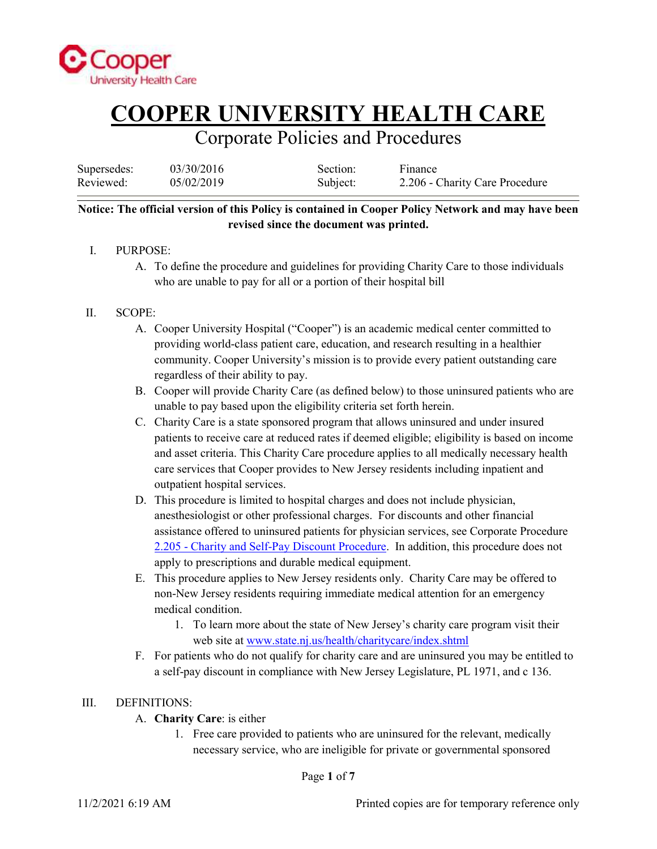

### Corporate Policies and Procedures

| Supersedes: | 03/30/2016 | Section: | Finance                        |
|-------------|------------|----------|--------------------------------|
| Reviewed:   | 05/02/2019 | Subject: | 2.206 - Charity Care Procedure |

#### **Notice: The official version of this Policy is contained in Cooper Policy Network and may have been revised since the document was printed.**

- I. PURPOSE:
	- A. To define the procedure and guidelines for providing Charity Care to those individuals who are unable to pay for all or a portion of their hospital bill

#### II. SCOPE:

- A. Cooper University Hospital ("Cooper") is an academic medical center committed to providing world-class patient care, education, and research resulting in a healthier community. Cooper University's mission is to provide every patient outstanding care regardless of their ability to pay.
- B. Cooper will provide Charity Care (as defined below) to those uninsured patients who are unable to pay based upon the eligibility criteria set forth herein.
- C. Charity Care is a state sponsored program that allows uninsured and under insured patients to receive care at reduced rates if deemed eligible; eligibility is based on income and asset criteria. This Charity Care procedure applies to all medically necessary health care services that Cooper provides to New Jersey residents including inpatient and outpatient hospital services.
- D. This procedure is limited to hospital charges and does not include physician, anesthesiologist or other professional charges. For discounts and other financial assistance offered to uninsured patients for physician services, see Corporate Procedure [2.205 - Charity and Self-Pay Discount Procedure](https://cooperhealth.policytech.com/docview/?docid=4244). In addition, this procedure does not apply to prescriptions and durable medical equipment.
- E. This procedure applies to New Jersey residents only. Charity Care may be offered to non-New Jersey residents requiring immediate medical attention for an emergency medical condition.
	- 1. To learn more about the state of New Jersey's charity care program visit their web site at [www.state.nj.us/health/charitycare/index.shtml](http://www.state.nj.us/health/charitycare/index.shtml)
- F. For patients who do not qualify for charity care and are uninsured you may be entitled to a self-pay discount in compliance with New Jersey Legislature, PL 1971, and c 136.

#### III. DEFINITIONS:

- A. **Charity Care**: is either
	- 1. Free care provided to patients who are uninsured for the relevant, medically necessary service, who are ineligible for private or governmental sponsored

Page **1** of **7**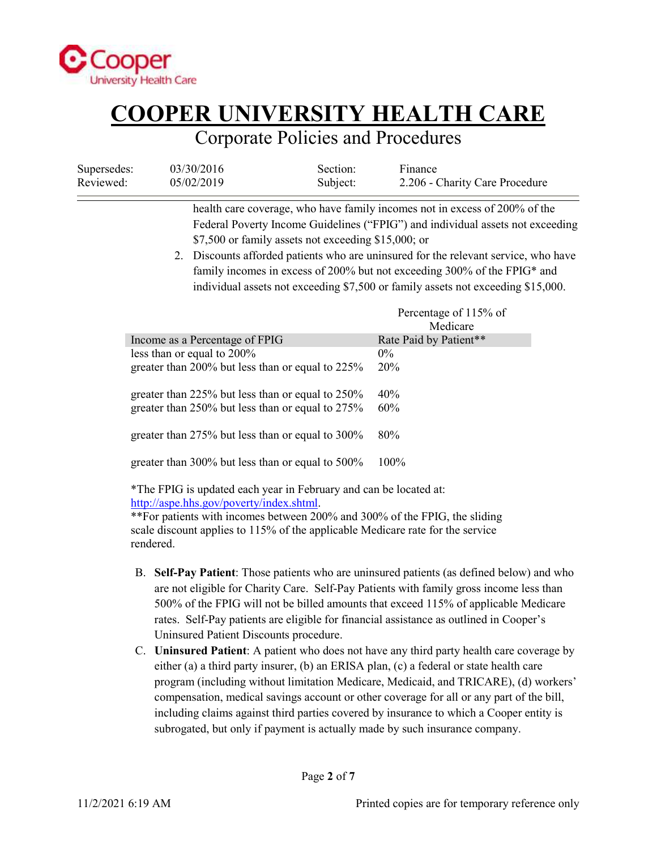

### Corporate Policies and Procedures

| Supersedes: | 03/30/2016 | Section: | Finance                        |
|-------------|------------|----------|--------------------------------|
| Reviewed:   | 05/02/2019 | Subject: | 2.206 - Charity Care Procedure |

health care coverage, who have family incomes not in excess of 200% of the Federal Poverty Income Guidelines ("FPIG") and individual assets not exceeding \$7,500 or family assets not exceeding \$15,000; or

2. Discounts afforded patients who are uninsured for the relevant service, who have family incomes in excess of 200% but not exceeding 300% of the FPIG\* and individual assets not exceeding \$7,500 or family assets not exceeding \$15,000.

|                                                        | Percentage of 115% of<br>Medicare |
|--------------------------------------------------------|-----------------------------------|
| Income as a Percentage of FPIG                         | Rate Paid by Patient**            |
| less than or equal to 200%                             | $0\%$                             |
| greater than 200% but less than or equal to 225%       | <b>20%</b>                        |
| greater than 225% but less than or equal to $250\%$    | 40%                               |
| greater than 250% but less than or equal to 275%       | 60%                               |
| greater than 275% but less than or equal to 300%       | 80%                               |
| greater than $300\%$ but less than or equal to $500\%$ | $100\%$                           |
|                                                        |                                   |

\*The FPIG is updated each year in February and can be located at: [http://aspe.hhs.gov/poverty/index.shtml.](http://aspe.hhs.gov/poverty/index.shtml)

\*\*For patients with incomes between 200% and 300% of the FPIG, the sliding scale discount applies to 115% of the applicable Medicare rate for the service rendered.

- B. **Self-Pay Patient**: Those patients who are uninsured patients (as defined below) and who are not eligible for Charity Care. Self-Pay Patients with family gross income less than 500% of the FPIG will not be billed amounts that exceed 115% of applicable Medicare rates. Self-Pay patients are eligible for financial assistance as outlined in Cooper's Uninsured Patient Discounts procedure.
- C. **Uninsured Patient**: A patient who does not have any third party health care coverage by either (a) a third party insurer, (b) an ERISA plan, (c) a federal or state health care program (including without limitation Medicare, Medicaid, and TRICARE), (d) workers' compensation, medical savings account or other coverage for all or any part of the bill, including claims against third parties covered by insurance to which a Cooper entity is subrogated, but only if payment is actually made by such insurance company.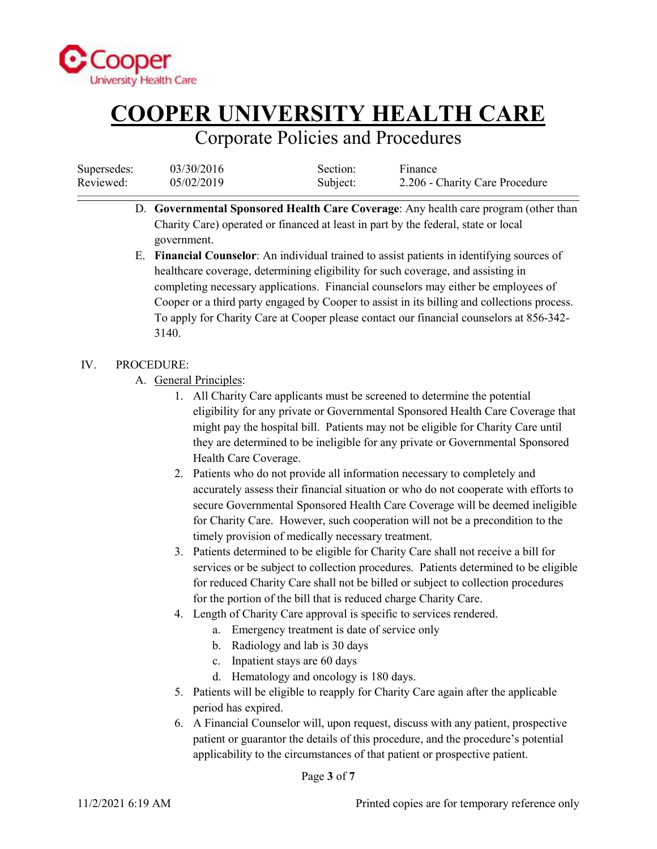

### Corporate Policies and Procedures

| Supersedes: | 03/30/2016 | Section: | Finance                        |
|-------------|------------|----------|--------------------------------|
| Reviewed:   | 05/02/2019 | Subject: | 2.206 - Charity Care Procedure |

- D. **Governmental Sponsored Health Care Coverage**: Any health care program (other than Charity Care) operated or financed at least in part by the federal, state or local government.
- E. **Financial Counselor**: An individual trained to assist patients in identifying sources of healthcare coverage, determining eligibility for such coverage, and assisting in completing necessary applications. Financial counselors may either be employees of Cooper or a third party engaged by Cooper to assist in its billing and collections process. To apply for Charity Care at Cooper please contact our financial counselors at 856-342- 3140.

#### IV. PROCEDURE:

- A. General Principles:
	- 1. All Charity Care applicants must be screened to determine the potential eligibility for any private or Governmental Sponsored Health Care Coverage that might pay the hospital bill. Patients may not be eligible for Charity Care until they are determined to be ineligible for any private or Governmental Sponsored Health Care Coverage.
	- 2. Patients who do not provide all information necessary to completely and accurately assess their financial situation or who do not cooperate with efforts to secure Governmental Sponsored Health Care Coverage will be deemed ineligible for Charity Care. However, such cooperation will not be a precondition to the timely provision of medically necessary treatment.
	- 3. Patients determined to be eligible for Charity Care shall not receive a bill for services or be subject to collection procedures. Patients determined to be eligible for reduced Charity Care shall not be billed or subject to collection procedures for the portion of the bill that is reduced charge Charity Care.
	- 4. Length of Charity Care approval is specific to services rendered.
		- a. Emergency treatment is date of service only
		- b. Radiology and lab is 30 days
		- c. Inpatient stays are 60 days
		- d. Hematology and oncology is 180 days.
	- 5. Patients will be eligible to reapply for Charity Care again after the applicable period has expired.
	- 6. A Financial Counselor will, upon request, discuss with any patient, prospective patient or guarantor the details of this procedure, and the procedure's potential applicability to the circumstances of that patient or prospective patient.

Page **3** of **7**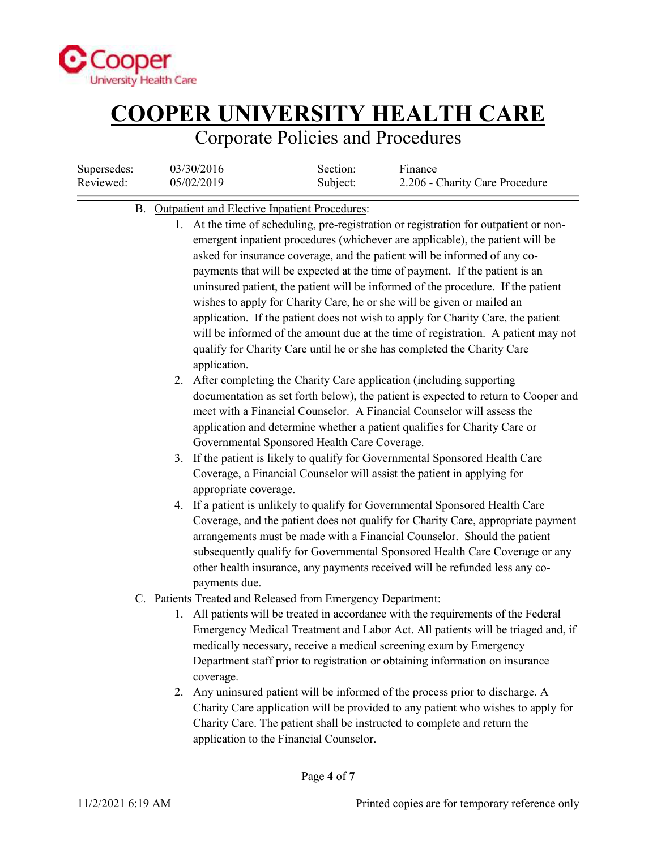

## Corporate Policies and Procedures

| Supersedes:<br>Reviewed: | 03/30/2016<br>05/02/2019                                         | Section:<br>Subject:                                                                                                                                                                                                                                                                                                       | Finance<br>2.206 - Charity Care Procedure                                                                                                                                                                                                                                                                                                                                                                                                                                                                                                                                                                                                                                                                                                            |
|--------------------------|------------------------------------------------------------------|----------------------------------------------------------------------------------------------------------------------------------------------------------------------------------------------------------------------------------------------------------------------------------------------------------------------------|------------------------------------------------------------------------------------------------------------------------------------------------------------------------------------------------------------------------------------------------------------------------------------------------------------------------------------------------------------------------------------------------------------------------------------------------------------------------------------------------------------------------------------------------------------------------------------------------------------------------------------------------------------------------------------------------------------------------------------------------------|
|                          | B. Outpatient and Elective Inpatient Procedures:<br>application. |                                                                                                                                                                                                                                                                                                                            | 1. At the time of scheduling, pre-registration or registration for outpatient or non-<br>emergent inpatient procedures (whichever are applicable), the patient will be<br>asked for insurance coverage, and the patient will be informed of any co-<br>payments that will be expected at the time of payment. If the patient is an<br>uninsured patient, the patient will be informed of the procedure. If the patient<br>wishes to apply for Charity Care, he or she will be given or mailed an<br>application. If the patient does not wish to apply for Charity Care, the patient<br>will be informed of the amount due at the time of registration. A patient may not<br>qualify for Charity Care until he or she has completed the Charity Care |
|                          | Governmental Sponsored Health Care Coverage.                     |                                                                                                                                                                                                                                                                                                                            | 2. After completing the Charity Care application (including supporting<br>documentation as set forth below), the patient is expected to return to Cooper and<br>meet with a Financial Counselor. A Financial Counselor will assess the<br>application and determine whether a patient qualifies for Charity Care or                                                                                                                                                                                                                                                                                                                                                                                                                                  |
|                          | appropriate coverage.                                            |                                                                                                                                                                                                                                                                                                                            | 3. If the patient is likely to qualify for Governmental Sponsored Health Care<br>Coverage, a Financial Counselor will assist the patient in applying for<br>4. If a patient is unlikely to qualify for Governmental Sponsored Health Care                                                                                                                                                                                                                                                                                                                                                                                                                                                                                                            |
|                          | payments due.                                                    | Coverage, and the patient does not qualify for Charity Care, appropriate payment<br>arrangements must be made with a Financial Counselor. Should the patient<br>subsequently qualify for Governmental Sponsored Health Care Coverage or any<br>other health insurance, any payments received will be refunded less any co- |                                                                                                                                                                                                                                                                                                                                                                                                                                                                                                                                                                                                                                                                                                                                                      |
|                          | C. Patients Treated and Released from Emergency Department:      |                                                                                                                                                                                                                                                                                                                            |                                                                                                                                                                                                                                                                                                                                                                                                                                                                                                                                                                                                                                                                                                                                                      |
|                          | coverage.                                                        |                                                                                                                                                                                                                                                                                                                            | 1. All patients will be treated in accordance with the requirements of the Federal<br>Emergency Medical Treatment and Labor Act. All patients will be triaged and, if<br>medically necessary, receive a medical screening exam by Emergency<br>Department staff prior to registration or obtaining information on insurance                                                                                                                                                                                                                                                                                                                                                                                                                          |
|                          | application to the Financial Counselor.                          |                                                                                                                                                                                                                                                                                                                            | 2. Any uninsured patient will be informed of the process prior to discharge. A<br>Charity Care application will be provided to any patient who wishes to apply for<br>Charity Care. The patient shall be instructed to complete and return the                                                                                                                                                                                                                                                                                                                                                                                                                                                                                                       |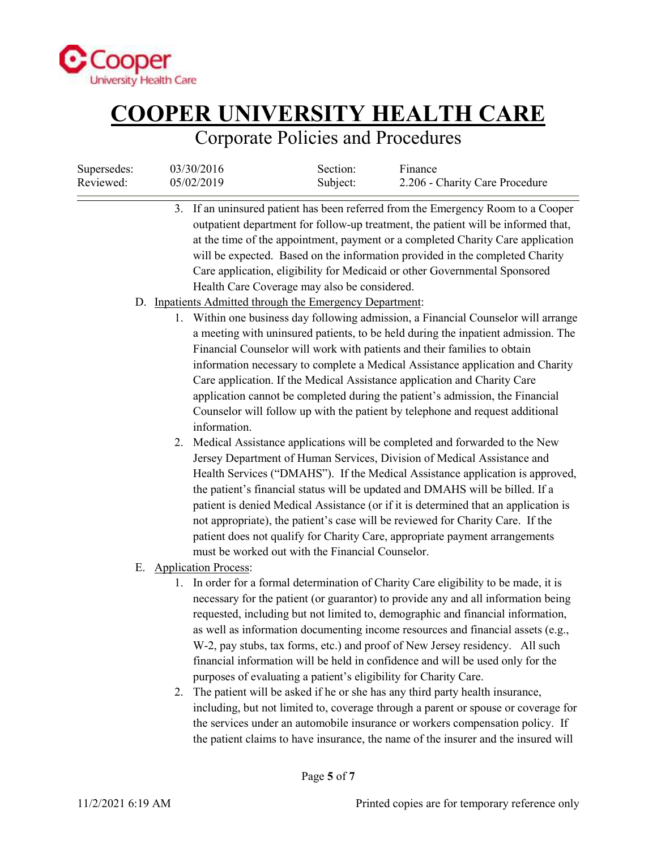

## Corporate Policies and Procedures

| Supersedes:<br>Reviewed: | 03/30/2016<br>05/02/2019                                                                                 | Section:<br>Subject: | Finance<br>2.206 - Charity Care Procedure                                                                                                                                                                                                                                                                                                                                                                              |
|--------------------------|----------------------------------------------------------------------------------------------------------|----------------------|------------------------------------------------------------------------------------------------------------------------------------------------------------------------------------------------------------------------------------------------------------------------------------------------------------------------------------------------------------------------------------------------------------------------|
|                          | Health Care Coverage may also be considered.<br>D. Inpatients Admitted through the Emergency Department: |                      | 3. If an uninsured patient has been referred from the Emergency Room to a Cooper<br>outpatient department for follow-up treatment, the patient will be informed that,<br>at the time of the appointment, payment or a completed Charity Care application<br>will be expected. Based on the information provided in the completed Charity<br>Care application, eligibility for Medicaid or other Governmental Sponsored |
|                          |                                                                                                          |                      | 1. Within one business day following admission, a Financial Counselor will arrange                                                                                                                                                                                                                                                                                                                                     |
|                          |                                                                                                          |                      | a meeting with uninsured patients, to be held during the inpatient admission. The                                                                                                                                                                                                                                                                                                                                      |
|                          |                                                                                                          |                      | Financial Counselor will work with patients and their families to obtain                                                                                                                                                                                                                                                                                                                                               |
|                          |                                                                                                          |                      | information necessary to complete a Medical Assistance application and Charity                                                                                                                                                                                                                                                                                                                                         |
|                          |                                                                                                          |                      | Care application. If the Medical Assistance application and Charity Care                                                                                                                                                                                                                                                                                                                                               |
|                          |                                                                                                          |                      | application cannot be completed during the patient's admission, the Financial                                                                                                                                                                                                                                                                                                                                          |
|                          |                                                                                                          |                      | Counselor will follow up with the patient by telephone and request additional                                                                                                                                                                                                                                                                                                                                          |
|                          | information.                                                                                             |                      |                                                                                                                                                                                                                                                                                                                                                                                                                        |
|                          | 2.                                                                                                       |                      | Medical Assistance applications will be completed and forwarded to the New<br>Jersey Department of Human Services, Division of Medical Assistance and                                                                                                                                                                                                                                                                  |
|                          |                                                                                                          |                      | Health Services ("DMAHS"). If the Medical Assistance application is approved,                                                                                                                                                                                                                                                                                                                                          |
|                          |                                                                                                          |                      | the patient's financial status will be updated and DMAHS will be billed. If a                                                                                                                                                                                                                                                                                                                                          |
|                          |                                                                                                          |                      | patient is denied Medical Assistance (or if it is determined that an application is                                                                                                                                                                                                                                                                                                                                    |
|                          |                                                                                                          |                      | not appropriate), the patient's case will be reviewed for Charity Care. If the                                                                                                                                                                                                                                                                                                                                         |
|                          |                                                                                                          |                      | patient does not qualify for Charity Care, appropriate payment arrangements                                                                                                                                                                                                                                                                                                                                            |
|                          | must be worked out with the Financial Counselor.                                                         |                      |                                                                                                                                                                                                                                                                                                                                                                                                                        |
|                          | E. Application Process:                                                                                  |                      |                                                                                                                                                                                                                                                                                                                                                                                                                        |
|                          |                                                                                                          |                      | 1. In order for a formal determination of Charity Care eligibility to be made, it is                                                                                                                                                                                                                                                                                                                                   |
|                          |                                                                                                          |                      | necessary for the patient (or guarantor) to provide any and all information being                                                                                                                                                                                                                                                                                                                                      |
|                          |                                                                                                          |                      | requested, including but not limited to, demographic and financial information,<br>as well as information documenting income resources and financial assets (e.g.,                                                                                                                                                                                                                                                     |
|                          |                                                                                                          |                      | W-2, pay stubs, tax forms, etc.) and proof of New Jersey residency. All such                                                                                                                                                                                                                                                                                                                                           |
|                          |                                                                                                          |                      | financial information will be held in confidence and will be used only for the                                                                                                                                                                                                                                                                                                                                         |
|                          |                                                                                                          |                      | purposes of evaluating a patient's eligibility for Charity Care.                                                                                                                                                                                                                                                                                                                                                       |
|                          | 2.                                                                                                       |                      | The patient will be asked if he or she has any third party health insurance,                                                                                                                                                                                                                                                                                                                                           |
|                          |                                                                                                          |                      | including, but not limited to, coverage through a parent or spouse or coverage for                                                                                                                                                                                                                                                                                                                                     |
|                          |                                                                                                          |                      | the services under an automobile insurance or workers compensation policy. If                                                                                                                                                                                                                                                                                                                                          |

the patient claims to have insurance, the name of the insurer and the insured will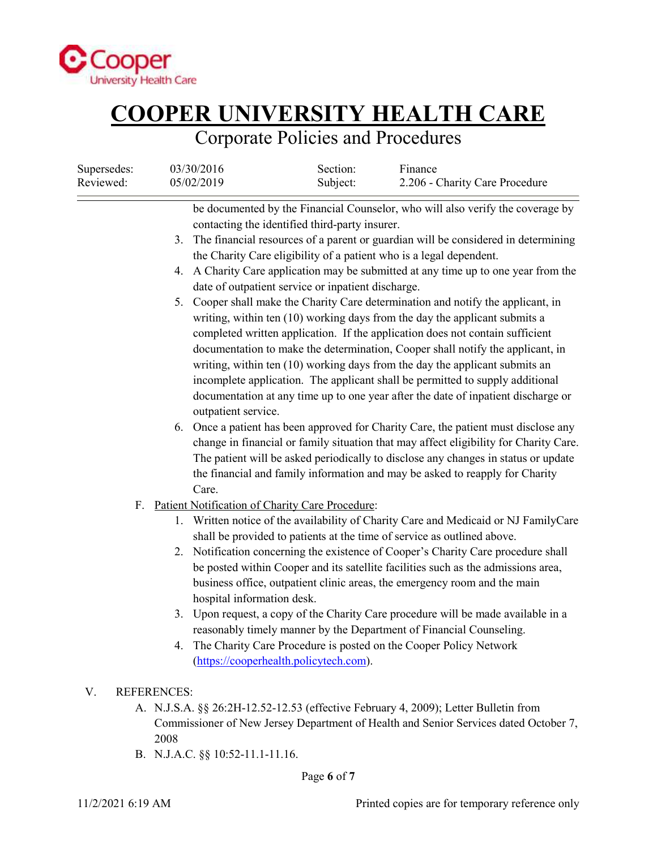

## Corporate Policies and Procedures

| Supersedes:<br>Reviewed: | 03/30/2016<br>05/02/2019                                                                           | Section:<br>Subject:                                                                                 | Finance<br>2.206 - Charity Care Procedure                                                                                                                                                                                                                                                                                                                                                                                                                                                                                                                                                                                                                                                                                                                                                                                                                                                                                                                                                                                                                                                                                                                                                                                                                                     |
|--------------------------|----------------------------------------------------------------------------------------------------|------------------------------------------------------------------------------------------------------|-------------------------------------------------------------------------------------------------------------------------------------------------------------------------------------------------------------------------------------------------------------------------------------------------------------------------------------------------------------------------------------------------------------------------------------------------------------------------------------------------------------------------------------------------------------------------------------------------------------------------------------------------------------------------------------------------------------------------------------------------------------------------------------------------------------------------------------------------------------------------------------------------------------------------------------------------------------------------------------------------------------------------------------------------------------------------------------------------------------------------------------------------------------------------------------------------------------------------------------------------------------------------------|
|                          | 3.<br>5.<br>outpatient service.                                                                    | contacting the identified third-party insurer.<br>date of outpatient service or inpatient discharge. | be documented by the Financial Counselor, who will also verify the coverage by<br>The financial resources of a parent or guardian will be considered in determining<br>the Charity Care eligibility of a patient who is a legal dependent.<br>4. A Charity Care application may be submitted at any time up to one year from the<br>Cooper shall make the Charity Care determination and notify the applicant, in<br>writing, within ten (10) working days from the day the applicant submits a<br>completed written application. If the application does not contain sufficient<br>documentation to make the determination, Cooper shall notify the applicant, in<br>writing, within ten (10) working days from the day the applicant submits an<br>incomplete application. The applicant shall be permitted to supply additional<br>documentation at any time up to one year after the date of inpatient discharge or<br>6. Once a patient has been approved for Charity Care, the patient must disclose any<br>change in financial or family situation that may affect eligibility for Charity Care.<br>The patient will be asked periodically to disclose any changes in status or update<br>the financial and family information and may be asked to reapply for Charity |
| F.                       | Care.<br>Patient Notification of Charity Care Procedure:<br>1.<br>hospital information desk.<br>4. | (https://cooperhealth.policytech.com).                                                               | Written notice of the availability of Charity Care and Medicaid or NJ FamilyCare<br>shall be provided to patients at the time of service as outlined above.<br>2. Notification concerning the existence of Cooper's Charity Care procedure shall<br>be posted within Cooper and its satellite facilities such as the admissions area,<br>business office, outpatient clinic areas, the emergency room and the main<br>3. Upon request, a copy of the Charity Care procedure will be made available in a<br>reasonably timely manner by the Department of Financial Counseling.<br>The Charity Care Procedure is posted on the Cooper Policy Network                                                                                                                                                                                                                                                                                                                                                                                                                                                                                                                                                                                                                           |
| V.                       | <b>REFERENCES:</b>                                                                                 |                                                                                                      |                                                                                                                                                                                                                                                                                                                                                                                                                                                                                                                                                                                                                                                                                                                                                                                                                                                                                                                                                                                                                                                                                                                                                                                                                                                                               |
|                          | 2008<br>B. N.J.A.C. §§ 10:52-11.1-11.16.                                                           |                                                                                                      | A. N.J.S.A. §§ 26:2H-12.52-12.53 (effective February 4, 2009); Letter Bulletin from<br>Commissioner of New Jersey Department of Health and Senior Services dated October 7,                                                                                                                                                                                                                                                                                                                                                                                                                                                                                                                                                                                                                                                                                                                                                                                                                                                                                                                                                                                                                                                                                                   |